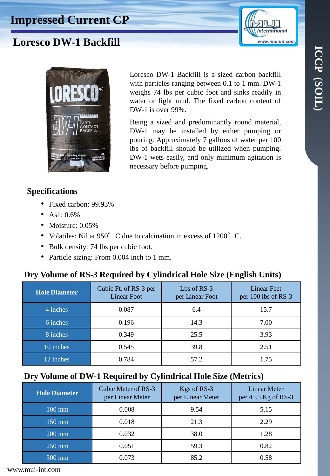



Loresco DW-1 Backfill is a sized carbon backfill with particles ranging between 0.1 to 1 mm. DW-1 weighs 74 lbs per cubic foot and sinks readily in water or light mud. The fixed carbon content of

Being a sized and predominantly round material, DW-1 may be installed by either pumping or pouring. Approximately 7 gallons of water per 100 lbs of backfill should be utilized when pumping. DW-1 wets easily, and only minimum agitation is



**Specifications**

- Fixed carbon: 99.93%
- Ash: 0.6%
- Moisture: 0.05%
- Volatiles: Nil at 950°C due to calcination in excess of 1200°C.
- Bulk density: 74 lbs per cubic foot.
- Particle sizing: From 0.004 inch to 1 mm.

## **Dry Volume of RS-3 Required by Cylindrical Hole Size (English Units)**

DW-1 is over 99%.

necessary before pumping.

| <b>Hole Diameter</b> | Cubic Ft. of RS-3 per<br><b>Linear Foot</b> | Lbs of RS-3<br>per Linear Foot | <b>Linear Feet</b><br>per 100 lbs of RS-3 |
|----------------------|---------------------------------------------|--------------------------------|-------------------------------------------|
| 4 inches             | 0.087                                       | 6.4                            | 15.7                                      |
| 6 inches             | 0.196                                       | 14.3                           | 7.00                                      |
| 8 inches             | 0.349                                       | 25.5                           | 3.93                                      |
| 10 inches            | 0.545                                       | 39.8                           | 2.51                                      |
| 12 inches            | 0.784                                       | 57.2                           | 1.75                                      |

# **Dry Volume of DW-1 Required by Cylindrical Hole Size (Metrics)**

| <b>Hole Diameter</b> | Cubic Meter of RS-3<br>per Linear Meter | Kgs of RS-3<br>per Linear Meter | <b>Linear Meter</b><br>per 45.5 Kg of RS-3 |
|----------------------|-----------------------------------------|---------------------------------|--------------------------------------------|
| $100 \text{ mm}$     | 0.008                                   | 9.54                            | 5.15                                       |
| $150 \text{ mm}$     | 0.018                                   | 21.3                            | 2.29                                       |
| $200$ mm             | 0.032                                   | 38.0                            | 1.28                                       |
| $250$ mm             | 0.051                                   | 59.3                            | 0.82                                       |
| $300 \text{ mm}$     | 0.073                                   | 85.2                            | 0.58                                       |

www.mui-int.com